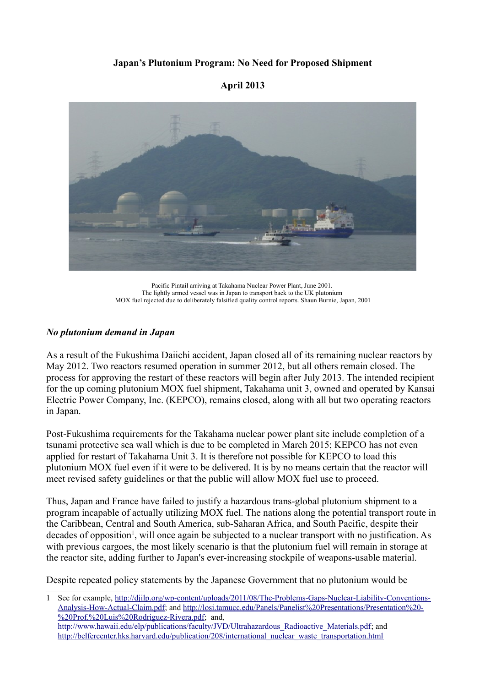## **Japan's Plutonium Program: No Need for Proposed Shipment**

#### **April 2013**



Pacific Pintail arriving at Takahama Nuclear Power Plant, June 2001. The lightly armed vessel was in Japan to transport back to the UK plutonium MOX fuel rejected due to deliberately falsified quality control reports. Shaun Burnie, Japan, 2001

#### *No plutonium demand in Japan*

As a result of the Fukushima Daiichi accident, Japan closed all of its remaining nuclear reactors by May 2012. Two reactors resumed operation in summer 2012, but all others remain closed. The process for approving the restart of these reactors will begin after July 2013. The intended recipient for the up coming plutonium MOX fuel shipment, Takahama unit 3, owned and operated by Kansai Electric Power Company, Inc. (KEPCO), remains closed, along with all but two operating reactors in Japan.

Post-Fukushima requirements for the Takahama nuclear power plant site include completion of a tsunami protective sea wall which is due to be completed in March 2015; KEPCO has not even applied for restart of Takahama Unit 3. It is therefore not possible for KEPCO to load this plutonium MOX fuel even if it were to be delivered. It is by no means certain that the reactor will meet revised safety guidelines or that the public will allow MOX fuel use to proceed.

Thus, Japan and France have failed to justify a hazardous trans-global plutonium shipment to a program incapable of actually utilizing MOX fuel. The nations along the potential transport route in the Caribbean, Central and South America, sub-Saharan Africa, and South Pacific, despite their decades of opposition<sup>[1](#page-0-0)</sup>, will once again be subjected to a nuclear transport with no justification. As with previous cargoes, the most likely scenario is that the plutonium fuel will remain in storage at the reactor site, adding further to Japan's ever-increasing stockpile of weapons-usable material.

Despite repeated policy statements by the Japanese Government that no plutonium would be

<span id="page-0-0"></span>1 See for example, [http://djilp.org/wp-content/uploads/2011/08/The-Problems-Gaps-Nuclear-Liability-Conventions-](http://djilp.org/wp-content/uploads/2011/08/The-Problems-Gaps-Nuclear-Liability-Conventions-Analysis-How-Actual-Claim.pdf)[Analysis-How-Actual-Claim.pdf;](http://djilp.org/wp-content/uploads/2011/08/The-Problems-Gaps-Nuclear-Liability-Conventions-Analysis-How-Actual-Claim.pdf) and [http://losi.tamucc.edu/Panels/Panelist%20Presentations/Presentation%20-](http://losi.tamucc.edu/Panels/Panelist%20Presentations/Presentation%20-%20Prof.%20Luis%20Rodriguez-Rivera.pdf) [%20Prof.%20Luis%20Rodriguez-Rivera.pdf;](http://losi.tamucc.edu/Panels/Panelist%20Presentations/Presentation%20-%20Prof.%20Luis%20Rodriguez-Rivera.pdf) and, [http://www.hawaii.edu/elp/publications/faculty/JVD/Ultrahazardous\\_Radioactive\\_Materials.pdf;](http://www.hawaii.edu/elp/publications/faculty/JVD/Ultrahazardous_Radioactive_Materials.pdf) and [http://belfercenter.hks.harvard.edu/publication/208/international\\_nuclear\\_waste\\_transportation.html](http://belfercenter.hks.harvard.edu/publication/208/international_nuclear_waste_transportation.html)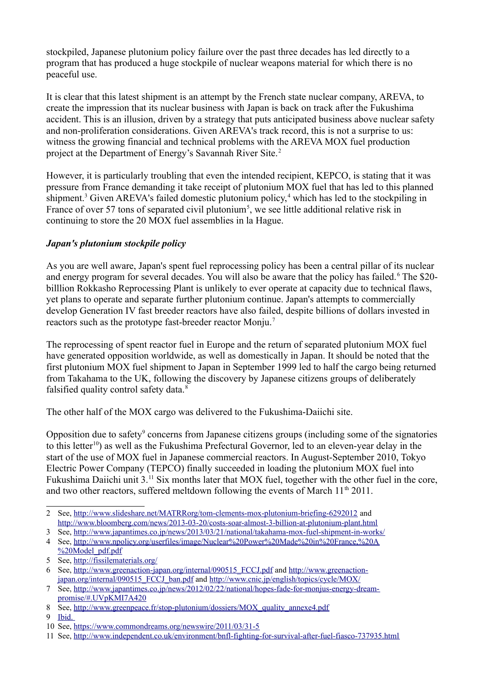stockpiled, Japanese plutonium policy failure over the past three decades has led directly to a program that has produced a huge stockpile of nuclear weapons material for which there is no peaceful use.

It is clear that this latest shipment is an attempt by the French state nuclear company, AREVA, to create the impression that its nuclear business with Japan is back on track after the Fukushima accident. This is an illusion, driven by a strategy that puts anticipated business above nuclear safety and non-proliferation considerations. Given AREVA's track record, this is not a surprise to us: witness the growing financial and technical problems with the AREVA MOX fuel production project at the Department of Energy's Savannah River Site.[2](#page-1-0)

However, it is particularly troubling that even the intended recipient, KEPCO, is stating that it was pressure from France demanding it take receipt of plutonium MOX fuel that has led to this planned shipment.<sup>[3](#page-1-1)</sup> Given AREVA's failed domestic plutonium policy,<sup>[4](#page-1-2)</sup> which has led to the stockpiling in France of over [5](#page-1-3)7 tons of separated civil plutonium<sup>5</sup>, we see little additional relative risk in continuing to store the 20 MOX fuel assemblies in la Hague.

## *Japan's plutonium stockpile policy*

As you are well aware, Japan's spent fuel reprocessing policy has been a central pillar of its nuclear and energy program for several decades. You will also be aware that the policy has failed.<sup>[6](#page-1-4)</sup> The \$20billlion Rokkasho Reprocessing Plant is unlikely to ever operate at capacity due to technical flaws, yet plans to operate and separate further plutonium continue. Japan's attempts to commercially develop Generation IV fast breeder reactors have also failed, despite billions of dollars invested in reactors such as the prototype fast-breeder reactor Monju.[7](#page-1-5)

The reprocessing of spent reactor fuel in Europe and the return of separated plutonium MOX fuel have generated opposition worldwide, as well as domestically in Japan. It should be noted that the first plutonium MOX fuel shipment to Japan in September 1999 led to half the cargo being returned from Takahama to the UK, following the discovery by Japanese citizens groups of deliberately falsified quality control safety data.<sup>[8](#page-1-6)</sup>

The other half of the MOX cargo was delivered to the Fukushima-Daiichi site.

Opposition due to safety<sup>[9](#page-1-7)</sup> concerns from Japanese citizens groups (including some of the signatories to this letter<sup>[10](#page-1-8)</sup>) as well as the Fukushima Prefectural Governor, led to an eleven-year delay in the start of the use of MOX fuel in Japanese commercial reactors. In August-September 2010, Tokyo Electric Power Company (TEPCO) finally succeeded in loading the plutonium MOX fuel into Fukushima Daiichi unit 3.<sup>[11](#page-1-9)</sup> Six months later that MOX fuel, together with the other fuel in the core, and two other reactors, suffered meltdown following the events of March  $11<sup>th</sup> 2011$ .

<span id="page-1-1"></span>3 See,<http://www.japantimes.co.jp/news/2013/03/21/national/takahama-mox-fuel-shipment-in-works/>

- <span id="page-1-3"></span>5 See,<http://fissilematerials.org/>
- <span id="page-1-4"></span>6 See, [http://www.greenaction-japan.org/internal/090515\\_FCCJ.pdf](http://www.greenaction-japan.org/internal/090515_FCCJ.pdf) and [http://www.greenaction](http://www.greenaction-japan.org/internal/090515_FCCJ_ban.pdf)[japan.org/internal/090515\\_FCCJ\\_ban.pdf](http://www.greenaction-japan.org/internal/090515_FCCJ_ban.pdf) and<http://www.cnic.jp/english/topics/cycle/MOX/>

- <span id="page-1-6"></span>8 See, [http://www.greenpeace.fr/stop-plutonium/dossiers/MOX\\_quality\\_annexe4.pdf](http://www.greenpeace.fr/stop-plutonium/dossiers/MOX_quality_annexe4.pdf)
- <span id="page-1-7"></span>9 Ibid.

<span id="page-1-9"></span>11 See,<http://www.independent.co.uk/environment/bnfl-fighting-for-survival-after-fuel-fiasco-737935.html>

<span id="page-1-0"></span><sup>2</sup> See,<http://www.slideshare.net/MATRRorg/tom-clements-mox-plutonium-briefing-6292012>and <http://www.bloomberg.com/news/2013-03-20/costs-soar-almost-3-billion-at-plutonium-plant.html>

<span id="page-1-2"></span><sup>4</sup> See, [http://www.npolicy.org/userfiles/image/Nuclear%20Power%20Made%20in%20France,%20A](http://www.npolicy.org/userfiles/image/Nuclear%20Power%20Made%20in%20France,%20A%20Model_pdf.pdf) [%20Model\\_pdf.pdf](http://www.npolicy.org/userfiles/image/Nuclear%20Power%20Made%20in%20France,%20A%20Model_pdf.pdf)

<span id="page-1-5"></span><sup>7</sup> See, [http://www.japantimes.co.jp/news/2012/02/22/national/hopes-fade-for-monjus-energy-dream](http://www.japantimes.co.jp/news/2012/02/22/national/hopes-fade-for-monjus-energy-dream-promise/#.UVpKMI7A420)[promise/#.UVpKMI7A420](http://www.japantimes.co.jp/news/2012/02/22/national/hopes-fade-for-monjus-energy-dream-promise/#.UVpKMI7A420)

<span id="page-1-8"></span><sup>10</sup> See,<https://www.commondreams.org/newswire/2011/03/31-5>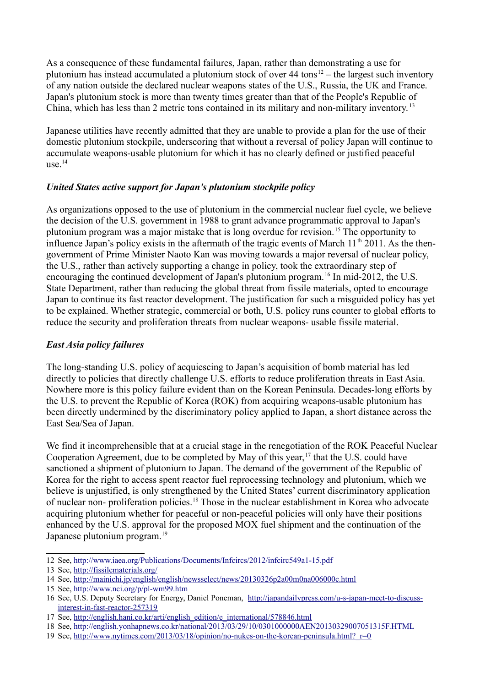As a consequence of these fundamental failures, Japan, rather than demonstrating a use for plutonium has instead accumulated a plutonium stock of over  $44 \text{ tons}^{12}$  $44 \text{ tons}^{12}$  $44 \text{ tons}^{12}$  – the largest such inventory of any nation outside the declared nuclear weapons states of the U.S., Russia, the UK and France. Japan's plutonium stock is more than twenty times greater than that of the People's Republic of China, which has less than 2 metric tons contained in its military and non-military inventory. [13](#page-2-1)

Japanese utilities have recently admitted that they are unable to provide a plan for the use of their domestic plutonium stockpile, underscoring that without a reversal of policy Japan will continue to accumulate weapons-usable plutonium for which it has no clearly defined or justified peaceful  $use<sup>14</sup>$  $use<sup>14</sup>$  $use<sup>14</sup>$ 

## *United States active support for Japan's plutonium stockpile policy*

As organizations opposed to the use of plutonium in the commercial nuclear fuel cycle, we believe the decision of the U.S. government in 1988 to grant advance programmatic approval to Japan's plutonium program was a major mistake that is long overdue for revision.[15](#page-2-3) The opportunity to influence Japan's policy exists in the aftermath of the tragic events of March  $11<sup>th</sup>$  2011. As the thengovernment of Prime Minister Naoto Kan was moving towards a major reversal of nuclear policy, the U.S., rather than actively supporting a change in policy, took the extraordinary step of encouraging the continued development of Japan's plutonium program.<sup>[16](#page-2-4)</sup> In mid-2012, the U.S. State Department, rather than reducing the global threat from fissile materials, opted to encourage Japan to continue its fast reactor development. The justification for such a misguided policy has yet to be explained. Whether strategic, commercial or both, U.S. policy runs counter to global efforts to reduce the security and proliferation threats from nuclear weapons- usable fissile material.

# *East Asia policy failures*

The long-standing U.S. policy of acquiescing to Japan's acquisition of bomb material has led directly to policies that directly challenge U.S. efforts to reduce proliferation threats in East Asia. Nowhere more is this policy failure evident than on the Korean Peninsula. Decades-long efforts by the U.S. to prevent the Republic of Korea (ROK) from acquiring weapons-usable plutonium has been directly undermined by the discriminatory policy applied to Japan, a short distance across the East Sea/Sea of Japan.

We find it incomprehensible that at a crucial stage in the renegotiation of the ROK Peaceful Nuclear Cooperation Agreement, due to be completed by May of this year,<sup>[17](#page-2-5)</sup> that the U.S. could have sanctioned a shipment of plutonium to Japan. The demand of the government of the Republic of Korea for the right to access spent reactor fuel reprocessing technology and plutonium, which we believe is unjustified, is only strengthened by the United States' current discriminatory application of nuclear non- proliferation policies.[18](#page-2-6) Those in the nuclear establishment in Korea who advocate acquiring plutonium whether for peaceful or non-peaceful policies will only have their positions enhanced by the U.S. approval for the proposed MOX fuel shipment and the continuation of the Japanese plutonium program.<sup>[19](#page-2-7)</sup>

<span id="page-2-0"></span><sup>12</sup> See,<http://www.iaea.org/Publications/Documents/Infcircs/2012/infcirc549a1-15.pdf>

<span id="page-2-1"></span><sup>13</sup> See,<http://fissilematerials.org/>

<span id="page-2-2"></span><sup>14</sup> See,<http://mainichi.jp/english/english/newsselect/news/20130326p2a00m0na006000c.html>

<span id="page-2-3"></span><sup>15</sup> See,<http://www.nci.org/p/pl-wm99.htm>

<span id="page-2-4"></span><sup>16</sup> See, U.S. Deputy Secretary for Energy, Daniel Poneman, [http://japandailypress.com/u-s-japan-meet-to-discuss](http://japandailypress.com/u-s-japan-meet-to-discuss-interest-in-fast-reactor-257319)[interest-in-fast-reactor-257319](http://japandailypress.com/u-s-japan-meet-to-discuss-interest-in-fast-reactor-257319)

<span id="page-2-5"></span><sup>17</sup> See, [http://english.hani.co.kr/arti/english\\_edition/e\\_international/578846.html](http://english.hani.co.kr/arti/english_edition/e_international/578846.html)

<span id="page-2-6"></span><sup>18</sup> See,<http://english.yonhapnews.co.kr/national/2013/03/29/10/0301000000AEN20130329007051315F.HTML>

<span id="page-2-7"></span><sup>19</sup> See, http://www.nytimes.com/2013/03/18/opinion/no-nukes-on-the-korean-peninsula.html? r=0